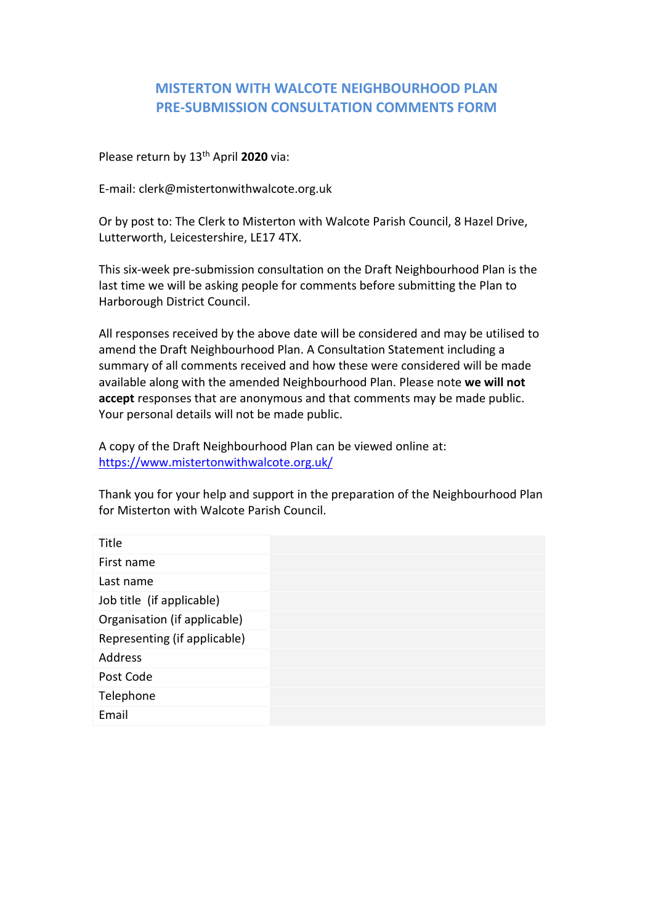## **MISTERTON WITH WALCOTE NEIGHBOURHOOD PLAN PRE-SUBMISSION CONSULTATION COMMENTS FORM**

Please return by 13<sup>th</sup> April 2020 via:

E-mail: clerk@mistertonwithwalcote.org.uk

Or by post to: The Clerk to Misterton with Walcote Parish Council, 8 Hazel Drive, Lutterworth, Leicestershire, LE17 4TX.

This six-week pre-submission consultation on the Draft Neighbourhood Plan is the last time we will be asking people for comments before submitting the Plan to Harborough District Council.

All responses received by the above date will be considered and may be utilised to amend the Draft Neighbourhood Plan. A Consultation Statement including a summary of all comments received and how these were considered will be made available along with the amended Neighbourhood Plan. Please note **we will not accept** responses that are anonymous and that comments may be made public. Your personal details will not be made public.

A copy of the Draft Neighbourhood Plan can be viewed online at: <https://www.mistertonwithwalcote.org.uk/>

Thank you for your help and support in the preparation of the Neighbourhood Plan for Misterton with Walcote Parish Council.

| Title                        |  |
|------------------------------|--|
| First name                   |  |
| Last name                    |  |
| Job title (if applicable)    |  |
| Organisation (if applicable) |  |
| Representing (if applicable) |  |
| <b>Address</b>               |  |
| Post Code                    |  |
| Telephone                    |  |
| Email                        |  |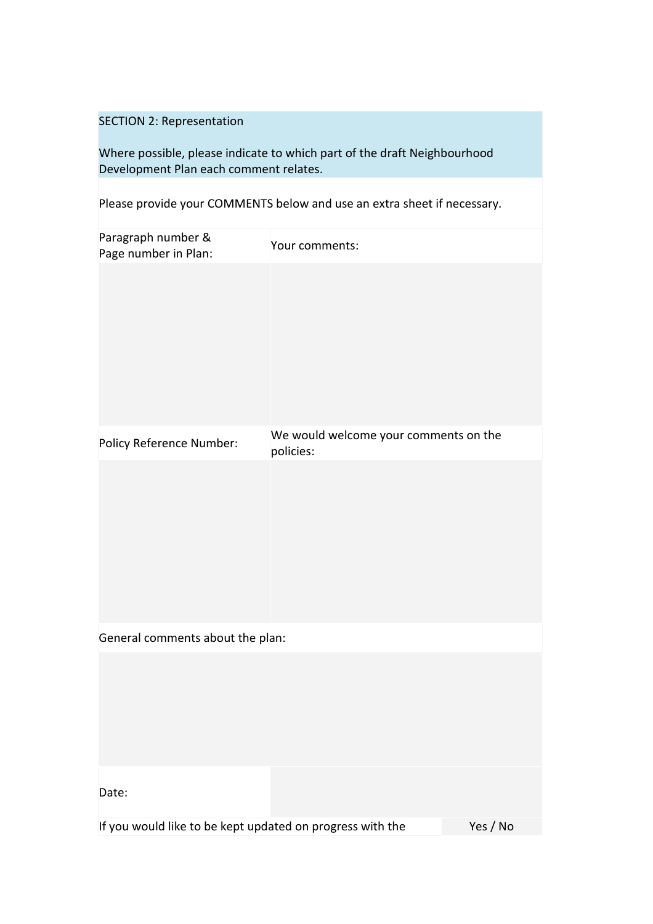## SECTION 2: Representation

Where possible, please indicate to which part of the draft Neighbourhood Development Plan each comment relates.

Please provide your COMMENTS below and use an extra sheet if necessary.

| Paragraph number &<br>Page number in Plan:                | Your comments:                                     |          |
|-----------------------------------------------------------|----------------------------------------------------|----------|
|                                                           |                                                    |          |
| Policy Reference Number:                                  | We would welcome your comments on the<br>policies: |          |
|                                                           |                                                    |          |
| General comments about the plan:                          |                                                    |          |
|                                                           |                                                    |          |
| Date:                                                     |                                                    |          |
| If you would like to be kept updated on progress with the |                                                    | Yes / No |